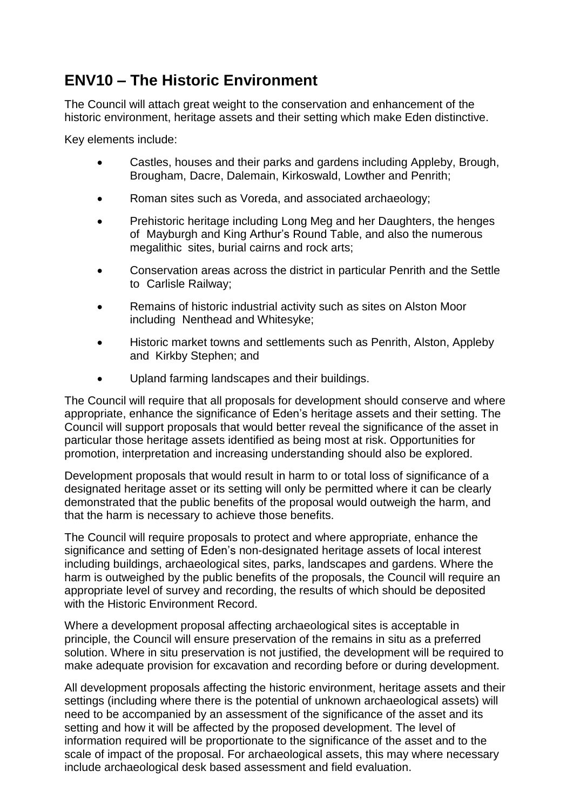## **ENV10 – The Historic Environment**

The Council will attach great weight to the conservation and enhancement of the historic environment, heritage assets and their setting which make Eden distinctive.

Key elements include:

- Castles, houses and their parks and gardens including Appleby, Brough, Brougham, Dacre, Dalemain, Kirkoswald, Lowther and Penrith;
- Roman sites such as Voreda, and associated archaeology;
- Prehistoric heritage including Long Meg and her Daughters, the henges of Mayburgh and King Arthur's Round Table, and also the numerous megalithic sites, burial cairns and rock arts;
- Conservation areas across the district in particular Penrith and the Settle to Carlisle Railway;
- Remains of historic industrial activity such as sites on Alston Moor including Nenthead and Whitesyke;
- Historic market towns and settlements such as Penrith, Alston, Appleby and Kirkby Stephen; and
- Upland farming landscapes and their buildings.

The Council will require that all proposals for development should conserve and where appropriate, enhance the significance of Eden's heritage assets and their setting. The Council will support proposals that would better reveal the significance of the asset in particular those heritage assets identified as being most at risk. Opportunities for promotion, interpretation and increasing understanding should also be explored.

Development proposals that would result in harm to or total loss of significance of a designated heritage asset or its setting will only be permitted where it can be clearly demonstrated that the public benefits of the proposal would outweigh the harm, and that the harm is necessary to achieve those benefits.

The Council will require proposals to protect and where appropriate, enhance the significance and setting of Eden's non-designated heritage assets of local interest including buildings, archaeological sites, parks, landscapes and gardens. Where the harm is outweighed by the public benefits of the proposals, the Council will require an appropriate level of survey and recording, the results of which should be deposited with the Historic Environment Record.

Where a development proposal affecting archaeological sites is acceptable in principle, the Council will ensure preservation of the remains in situ as a preferred solution. Where in situ preservation is not justified, the development will be required to make adequate provision for excavation and recording before or during development.

All development proposals affecting the historic environment, heritage assets and their settings (including where there is the potential of unknown archaeological assets) will need to be accompanied by an assessment of the significance of the asset and its setting and how it will be affected by the proposed development. The level of information required will be proportionate to the significance of the asset and to the scale of impact of the proposal. For archaeological assets, this may where necessary include archaeological desk based assessment and field evaluation.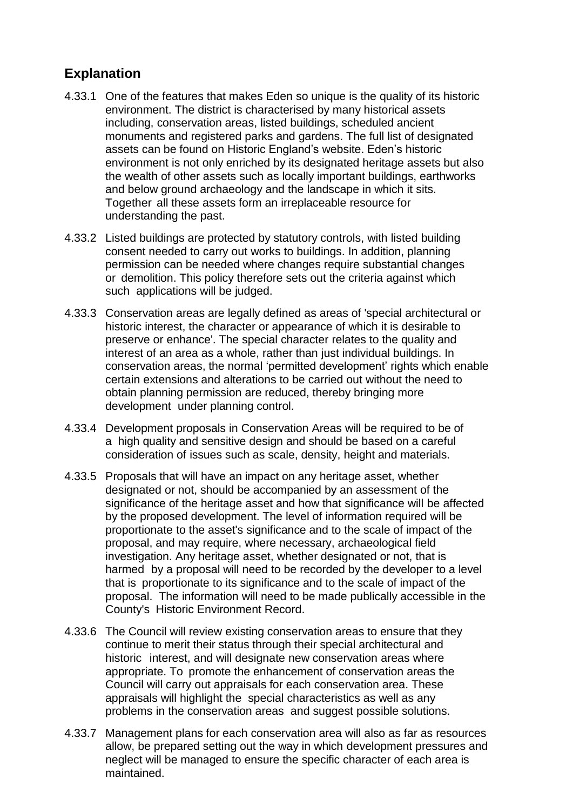## **Explanation**

- 4.33.1 One of the features that makes Eden so unique is the quality of its historic environment. The district is characterised by many historical assets including, conservation areas, listed buildings, scheduled ancient monuments and registered parks and gardens. The full list of designated assets can be found on Historic England's website. Eden's historic environment is not only enriched by its designated heritage assets but also the wealth of other assets such as locally important buildings, earthworks and below ground archaeology and the landscape in which it sits. Together all these assets form an irreplaceable resource for understanding the past.
- 4.33.2 Listed buildings are protected by statutory controls, with listed building consent needed to carry out works to buildings. In addition, planning permission can be needed where changes require substantial changes or demolition. This policy therefore sets out the criteria against which such applications will be judged.
- 4.33.3 Conservation areas are legally defined as areas of 'special architectural or historic interest, the character or appearance of which it is desirable to preserve or enhance'. The special character relates to the quality and interest of an area as a whole, rather than just individual buildings. In conservation areas, the normal 'permitted development' rights which enable certain extensions and alterations to be carried out without the need to obtain planning permission are reduced, thereby bringing more development under planning control.
- 4.33.4 Development proposals in Conservation Areas will be required to be of a high quality and sensitive design and should be based on a careful consideration of issues such as scale, density, height and materials.
- 4.33.5 Proposals that will have an impact on any heritage asset, whether designated or not, should be accompanied by an assessment of the significance of the heritage asset and how that significance will be affected by the proposed development. The level of information required will be proportionate to the asset's significance and to the scale of impact of the proposal, and may require, where necessary, archaeological field investigation. Any heritage asset, whether designated or not, that is harmed by a proposal will need to be recorded by the developer to a level that is proportionate to its significance and to the scale of impact of the proposal. The information will need to be made publically accessible in the County's Historic Environment Record.
- 4.33.6 The Council will review existing conservation areas to ensure that they continue to merit their status through their special architectural and historic interest, and will designate new conservation areas where appropriate. To promote the enhancement of conservation areas the Council will carry out appraisals for each conservation area. These appraisals will highlight the special characteristics as well as any problems in the conservation areas and suggest possible solutions.
- 4.33.7 Management plans for each conservation area will also as far as resources allow, be prepared setting out the way in which development pressures and neglect will be managed to ensure the specific character of each area is maintained.